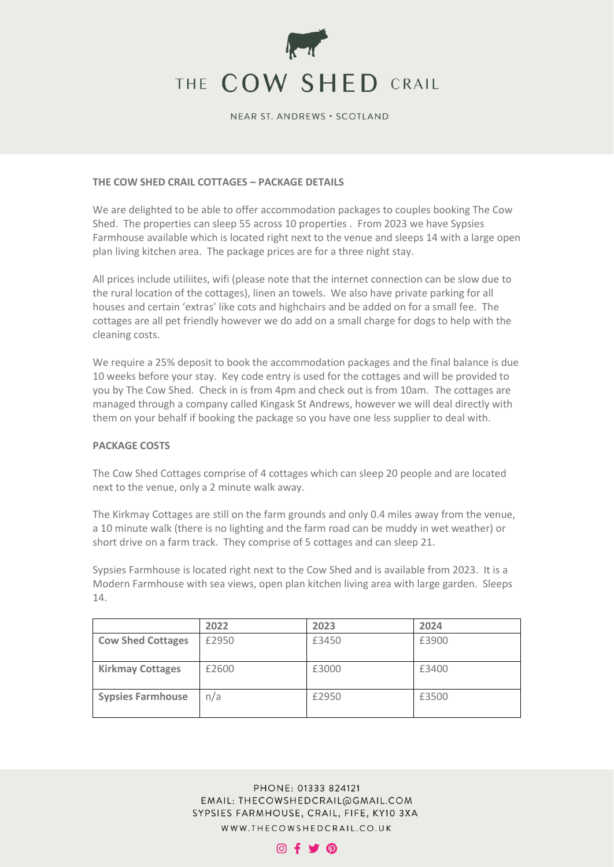

#### NEAR ST. ANDREWS . SCOTLAND

## **THE COW SHED CRAIL COTTAGES – PACKAGE DETAILS**

We are delighted to be able to offer accommodation packages to couples booking The Cow Shed. The properties can sleep 55 across 10 properties . From 2023 we have Sypsies Farmhouse available which is located right next to the venue and sleeps 14 with a large open plan living kitchen area. The package prices are for a three night stay.

All prices include utiliites, wifi (please note that the internet connection can be slow due to the rural location of the cottages), linen an towels. We also have private parking for all houses and certain 'extras' like cots and highchairs and be added on for a small fee. The cottages are all pet friendly however we do add on a small charge for dogs to help with the cleaning costs.

We require a 25% deposit to book the accommodation packages and the final balance is due 10 weeks before your stay. Key code entry is used for the cottages and will be provided to you by The Cow Shed. Check in is from 4pm and check out is from 10am. The cottages are managed through a company called Kingask St Andrews, however we will deal directly with them on your behalf if booking the package so you have one less supplier to deal with.

#### **PACKAGE COSTS**

The Cow Shed Cottages comprise of 4 cottages which can sleep 20 people and are located next to the venue, only a 2 minute walk away.

The Kirkmay Cottages are still on the farm grounds and only 0.4 miles away from the venue, a 10 minute walk (there is no lighting and the farm road can be muddy in wet weather) or short drive on a farm track. They comprise of 5 cottages and can sleep 21.

Sypsies Farmhouse is located right next to the Cow Shed and is available from 2023. It is a Modern Farmhouse with sea views, open plan kitchen living area with large garden. Sleeps 14.

|                          | 2022  | 2023  | 2024  |
|--------------------------|-------|-------|-------|
| <b>Cow Shed Cottages</b> | £2950 | £3450 | £3900 |
| <b>Kirkmay Cottages</b>  | £2600 | £3000 | £3400 |
| <b>Sypsies Farmhouse</b> | n/a   | £2950 | £3500 |



#### $@f$   $\blacktriangleright$   $@$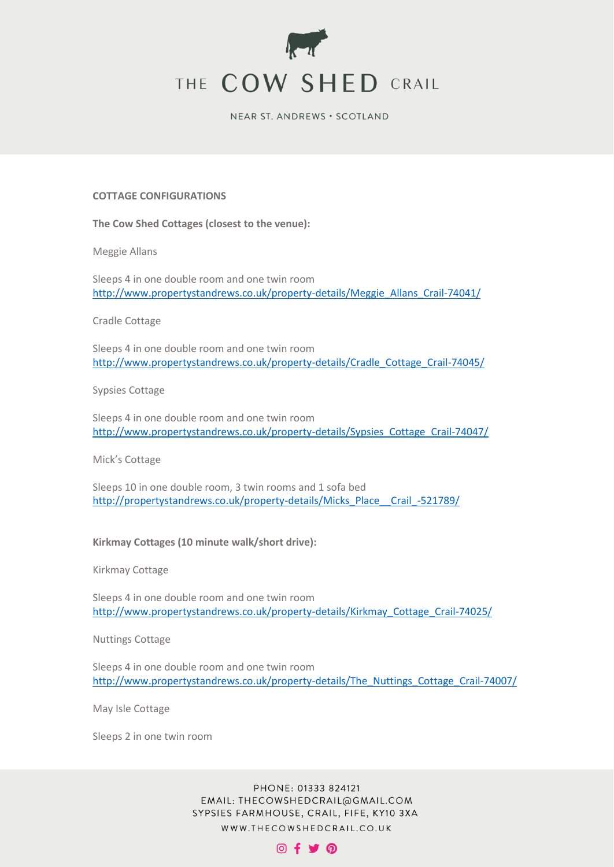

NEAR ST. ANDREWS . SCOTLAND

#### **COTTAGE CONFIGURATIONS**

#### **The Cow Shed Cottages (closest to the venue):**

Meggie Allans

Sleeps 4 in one double room and one twin room [http://www.propertystandrews.co.uk/property-details/Meggie\\_Allans\\_Crail-74041/](http://www.propertystandrews.co.uk/property-details/Meggie_Allans_Crail-74041/)

Cradle Cottage

Sleeps 4 in one double room and one twin room [http://www.propertystandrews.co.uk/property-details/Cradle\\_Cottage\\_Crail-74045/](http://www.propertystandrews.co.uk/property-details/Cradle_Cottage_Crail-74045/)

Sypsies Cottage

Sleeps 4 in one double room and one twin room [http://www.propertystandrews.co.uk/property-details/Sypsies\\_Cottage\\_Crail-74047/](http://www.propertystandrews.co.uk/property-details/Sypsies_Cottage_Crail-74047/)

Mick's Cottage

Sleeps 10 in one double room, 3 twin rooms and 1 sofa bed [http://propertystandrews.co.uk/property-details/Micks\\_Place\\_\\_Crail\\_-521789/](http://propertystandrews.co.uk/property-details/Micks_Place__Crail_-521789/)

**Kirkmay Cottages (10 minute walk/short drive):** 

Kirkmay Cottage

Sleeps 4 in one double room and one twin room [http://www.propertystandrews.co.uk/property-details/Kirkmay\\_Cottage\\_Crail-74025/](http://www.propertystandrews.co.uk/property-details/Kirkmay_Cottage_Crail-74025/)

Nuttings Cottage

Sleeps 4 in one double room and one twin room [http://www.propertystandrews.co.uk/property-details/The\\_Nuttings\\_Cottage\\_Crail-74007/](http://www.propertystandrews.co.uk/property-details/The_Nuttings_Cottage_Crail-74007/)

May Isle Cottage

Sleeps 2 in one twin room

PHONE: 01333 824121 EMAIL: THECOWSHEDCRAIL@GMAIL.COM SYPSIES FARMHOUSE, CRAIL, FIFE, KY10 3XA WWW.THECOWSHEDCRAIL.CO.UK

# $@f$   $\blacktriangleright$   $@$